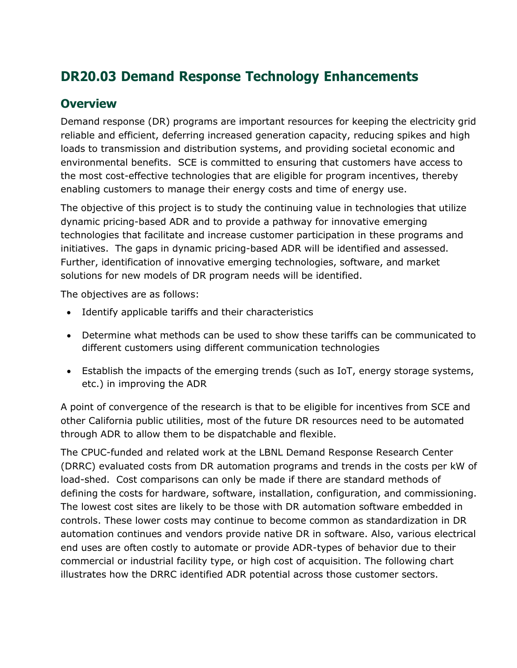# **DR20.03 Demand Response Technology Enhancements**

#### **Overview**

Demand response (DR) programs are important resources for keeping the electricity grid reliable and efficient, deferring increased generation capacity, reducing spikes and high loads to transmission and distribution systems, and providing societal economic and environmental benefits. SCE is committed to ensuring that customers have access to the most cost-effective technologies that are eligible for program incentives, thereby enabling customers to manage their energy costs and time of energy use.

The objective of this project is to study the continuing value in technologies that utilize dynamic pricing-based ADR and to provide a pathway for innovative emerging technologies that facilitate and increase customer participation in these programs and initiatives. The gaps in dynamic pricing-based ADR will be identified and assessed. Further, identification of innovative emerging technologies, software, and market solutions for new models of DR program needs will be identified.

The objectives are as follows:

- Identify applicable tariffs and their characteristics
- Determine what methods can be used to show these tariffs can be communicated to different customers using different communication technologies
- Establish the impacts of the emerging trends (such as IoT, energy storage systems, etc.) in improving the ADR

A point of convergence of the research is that to be eligible for incentives from SCE and other California public utilities, most of the future DR resources need to be automated through ADR to allow them to be dispatchable and flexible.

The CPUC-funded and related work at the LBNL Demand Response Research Center (DRRC) evaluated costs from DR automation programs and trends in the costs per kW of load-shed. Cost comparisons can only be made if there are standard methods of defining the costs for hardware, software, installation, configuration, and commissioning. The lowest cost sites are likely to be those with DR automation software embedded in controls. These lower costs may continue to become common as standardization in DR automation continues and vendors provide native DR in software. Also, various electrical end uses are often costly to automate or provide ADR-types of behavior due to their commercial or industrial facility type, or high cost of acquisition. The following chart illustrates how the DRRC identified ADR potential across those customer sectors.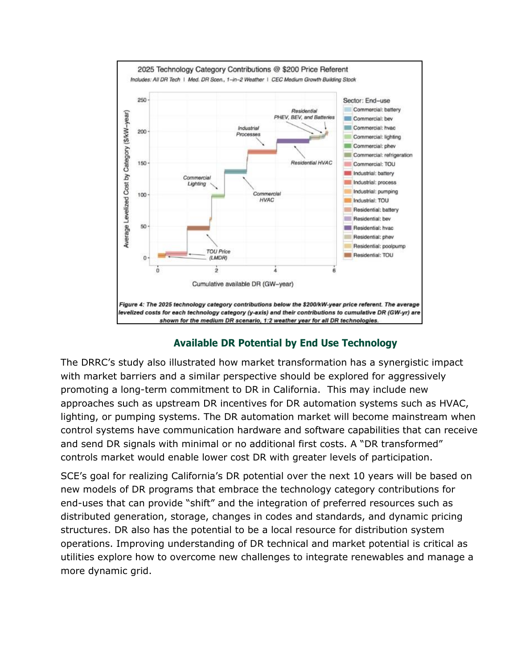

#### **Available DR Potential by End Use Technology**

The DRRC's study also illustrated how market transformation has a synergistic impact with market barriers and a similar perspective should be explored for aggressively promoting a long-term commitment to DR in California. This may include new approaches such as upstream DR incentives for DR automation systems such as HVAC, lighting, or pumping systems. The DR automation market will become mainstream when control systems have communication hardware and software capabilities that can receive and send DR signals with minimal or no additional first costs. A "DR transformed" controls market would enable lower cost DR with greater levels of participation.

SCE's goal for realizing California's DR potential over the next 10 years will be based on new models of DR programs that embrace the technology category contributions for end-uses that can provide "shift" and the integration of preferred resources such as distributed generation, storage, changes in codes and standards, and dynamic pricing structures. DR also has the potential to be a local resource for distribution system operations. Improving understanding of DR technical and market potential is critical as utilities explore how to overcome new challenges to integrate renewables and manage a more dynamic grid.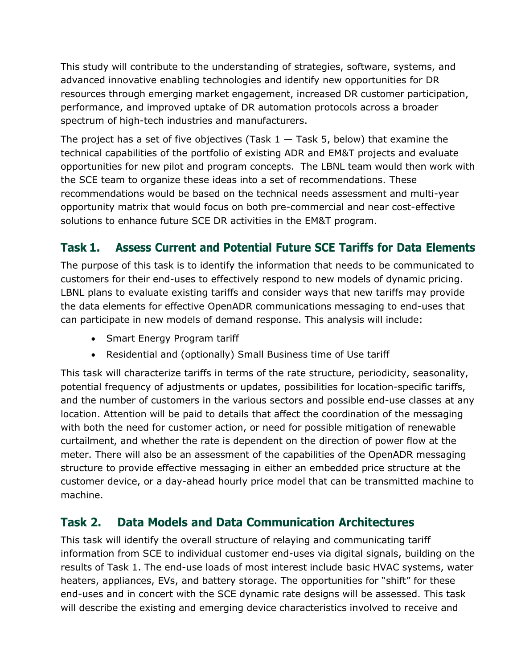This study will contribute to the understanding of strategies, software, systems, and advanced innovative enabling technologies and identify new opportunities for DR resources through emerging market engagement, increased DR customer participation, performance, and improved uptake of DR automation protocols across a broader spectrum of high-tech industries and manufacturers.

The project has a set of five objectives (Task  $1 -$  Task 5, below) that examine the technical capabilities of the portfolio of existing ADR and EM&T projects and evaluate opportunities for new pilot and program concepts. The LBNL team would then work with the SCE team to organize these ideas into a set of recommendations. These recommendations would be based on the technical needs assessment and multi-year opportunity matrix that would focus on both pre-commercial and near cost-effective solutions to enhance future SCE DR activities in the EM&T program.

# **Task 1. Assess Current and Potential Future SCE Tariffs for Data Elements**

The purpose of this task is to identify the information that needs to be communicated to customers for their end-uses to effectively respond to new models of dynamic pricing. LBNL plans to evaluate existing tariffs and consider ways that new tariffs may provide the data elements for effective OpenADR communications messaging to end-uses that can participate in new models of demand response. This analysis will include:

- Smart Energy Program tariff
- Residential and (optionally) Small Business time of Use tariff

This task will characterize tariffs in terms of the rate structure, periodicity, seasonality, potential frequency of adjustments or updates, possibilities for location-specific tariffs, and the number of customers in the various sectors and possible end-use classes at any location. Attention will be paid to details that affect the coordination of the messaging with both the need for customer action, or need for possible mitigation of renewable curtailment, and whether the rate is dependent on the direction of power flow at the meter. There will also be an assessment of the capabilities of the OpenADR messaging structure to provide effective messaging in either an embedded price structure at the customer device, or a day-ahead hourly price model that can be transmitted machine to machine.

## **Task 2. Data Models and Data Communication Architectures**

This task will identify the overall structure of relaying and communicating tariff information from SCE to individual customer end-uses via digital signals, building on the results of Task 1. The end-use loads of most interest include basic HVAC systems, water heaters, appliances, EVs, and battery storage. The opportunities for "shift" for these end-uses and in concert with the SCE dynamic rate designs will be assessed. This task will describe the existing and emerging device characteristics involved to receive and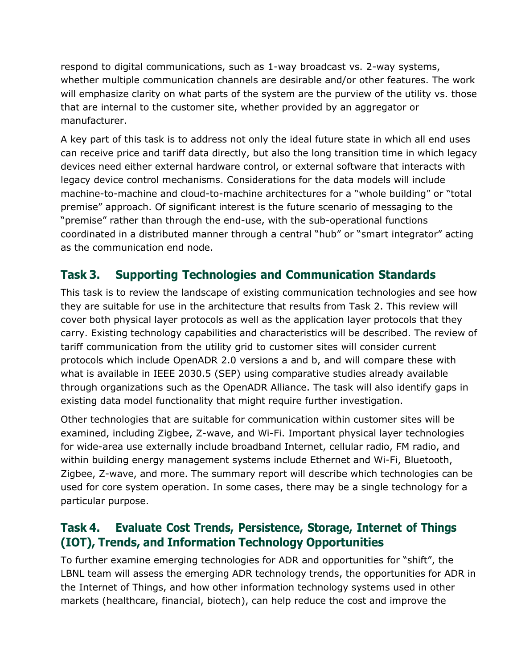respond to digital communications, such as 1-way broadcast vs. 2-way systems, whether multiple communication channels are desirable and/or other features. The work will emphasize clarity on what parts of the system are the purview of the utility vs. those that are internal to the customer site, whether provided by an aggregator or manufacturer.

A key part of this task is to address not only the ideal future state in which all end uses can receive price and tariff data directly, but also the long transition time in which legacy devices need either external hardware control, or external software that interacts with legacy device control mechanisms. Considerations for the data models will include machine-to-machine and cloud-to-machine architectures for a "whole building" or "total premise" approach. Of significant interest is the future scenario of messaging to the "premise" rather than through the end-use, with the sub-operational functions coordinated in a distributed manner through a central "hub" or "smart integrator" acting as the communication end node.

# **Task 3. Supporting Technologies and Communication Standards**

This task is to review the landscape of existing communication technologies and see how they are suitable for use in the architecture that results from Task 2. This review will cover both physical layer protocols as well as the application layer protocols that they carry. Existing technology capabilities and characteristics will be described. The review of tariff communication from the utility grid to customer sites will consider current protocols which include OpenADR 2.0 versions a and b, and will compare these with what is available in IEEE 2030.5 (SEP) using comparative studies already available through organizations such as the OpenADR Alliance. The task will also identify gaps in existing data model functionality that might require further investigation.

Other technologies that are suitable for communication within customer sites will be examined, including Zigbee, Z-wave, and Wi-Fi. Important physical layer technologies for wide-area use externally include broadband Internet, cellular radio, FM radio, and within building energy management systems include Ethernet and Wi-Fi, Bluetooth, Zigbee, Z-wave, and more. The summary report will describe which technologies can be used for core system operation. In some cases, there may be a single technology for a particular purpose.

# **Task 4. Evaluate Cost Trends, Persistence, Storage, Internet of Things (IOT), Trends, and Information Technology Opportunities**

To further examine emerging technologies for ADR and opportunities for "shift", the LBNL team will assess the emerging ADR technology trends, the opportunities for ADR in the Internet of Things, and how other information technology systems used in other markets (healthcare, financial, biotech), can help reduce the cost and improve the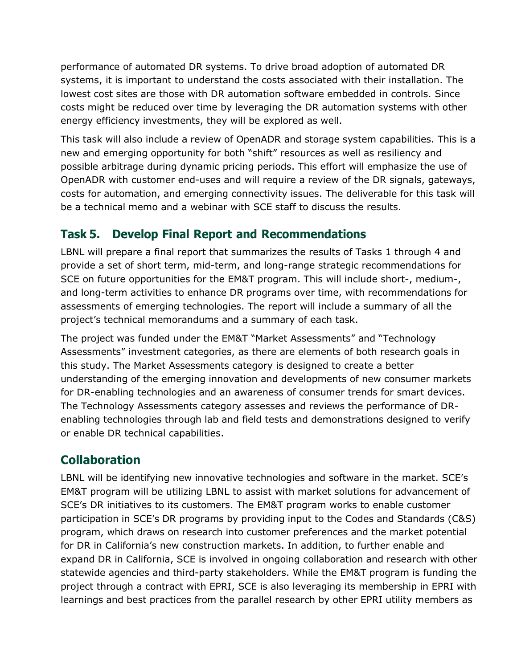performance of automated DR systems. To drive broad adoption of automated DR systems, it is important to understand the costs associated with their installation. The lowest cost sites are those with DR automation software embedded in controls. Since costs might be reduced over time by leveraging the DR automation systems with other energy efficiency investments, they will be explored as well.

This task will also include a review of OpenADR and storage system capabilities. This is a new and emerging opportunity for both "shift" resources as well as resiliency and possible arbitrage during dynamic pricing periods. This effort will emphasize the use of OpenADR with customer end-uses and will require a review of the DR signals, gateways, costs for automation, and emerging connectivity issues. The deliverable for this task will be a technical memo and a webinar with SCE staff to discuss the results.

## **Task 5. Develop Final Report and Recommendations**

LBNL will prepare a final report that summarizes the results of Tasks 1 through 4 and provide a set of short term, mid-term, and long-range strategic recommendations for SCE on future opportunities for the EM&T program. This will include short-, medium-, and long-term activities to enhance DR programs over time, with recommendations for assessments of emerging technologies. The report will include a summary of all the project's technical memorandums and a summary of each task.

The project was funded under the EM&T "Market Assessments" and "Technology Assessments" investment categories, as there are elements of both research goals in this study. The Market Assessments category is designed to create a better understanding of the emerging innovation and developments of new consumer markets for DR-enabling technologies and an awareness of consumer trends for smart devices. The Technology Assessments category assesses and reviews the performance of DRenabling technologies through lab and field tests and demonstrations designed to verify or enable DR technical capabilities.

# **Collaboration**

LBNL will be identifying new innovative technologies and software in the market. SCE's EM&T program will be utilizing LBNL to assist with market solutions for advancement of SCE's DR initiatives to its customers. The EM&T program works to enable customer participation in SCE's DR programs by providing input to the Codes and Standards (C&S) program, which draws on research into customer preferences and the market potential for DR in California's new construction markets. In addition, to further enable and expand DR in California, SCE is involved in ongoing collaboration and research with other statewide agencies and third-party stakeholders. While the EM&T program is funding the project through a contract with EPRI, SCE is also leveraging its membership in EPRI with learnings and best practices from the parallel research by other EPRI utility members as